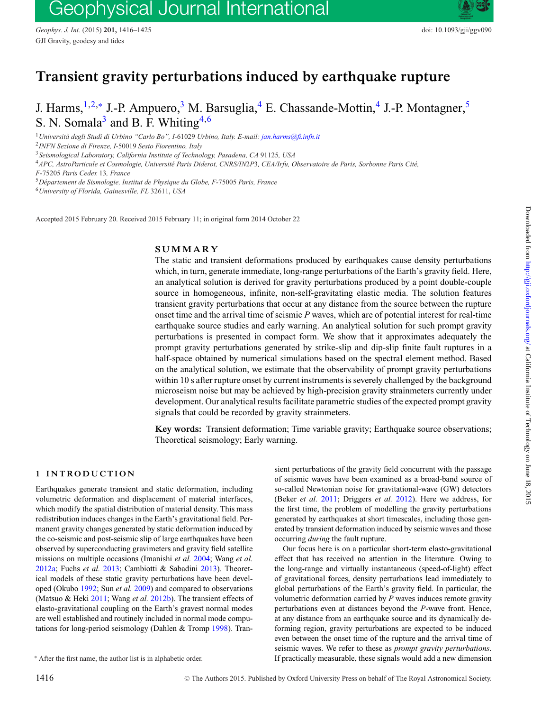# Geophysical Journal International

*Geophys. J. Int.* (2015) **201,** 1416–1425 doi: 10.1093/gji/ggv090 GJI Gravity, geodesy and tides

# **Transient gravity perturbations induced by earthquake rupture**

# J. Harms,<sup>1,[2,](#page-0-1)[∗](#page-0-2)</sup> J.-P. Ampuero,<sup>[3](#page-0-3)</sup> M. Barsuglia,<sup>4</sup> E. Chassande-Mottin,<sup>4</sup> J.-P. Montagner,<sup>[5](#page-0-5)</sup> S. N. Somala<sup>[3](#page-0-3)</sup> and B. F. Whiting<sup>4,[6](#page-0-6)</sup>

<span id="page-0-0"></span><sup>1</sup>*Universita degli Studi di Urbino "Carlo Bo", I- `* 61029 *Urbino, Italy. E-mail: [jan.harms@fi.infn.it](mailto:jan.harms@fi.infn.it)*

<span id="page-0-1"></span><sup>2</sup>*INFN Sezione di Firenze, I-*50019 *Sesto Fiorentino, Italy*

<span id="page-0-3"></span><sup>3</sup>*Seismological Laboratory, California Institute of Technology, Pasadena, CA* 91125*, USA*

<span id="page-0-4"></span><sup>4</sup>*APC, AstroParticule et Cosmologie, Universite Paris Diderot, CNRS/IN ´* 2*P*3*, CEA/Irfu, Observatoire de Paris, Sorbonne Paris Cite,´*

*F-*75205 *Paris Cedex* 13*, France*

<span id="page-0-5"></span><sup>5</sup>*Departement de Sismologie, Institut de Physique du Globe, F- ´* 75005 *Paris, France*

<span id="page-0-6"></span><sup>6</sup>*University of Florida, Gainesville, FL* 32611, *USA*

Accepted 2015 February 20. Received 2015 February 11; in original form 2014 October 22

# **SUMMARY**

The static and transient deformations produced by earthquakes cause density perturbations which, in turn, generate immediate, long-range perturbations of the Earth's gravity field. Here, an analytical solution is derived for gravity perturbations produced by a point double-couple source in homogeneous, infinite, non-self-gravitating elastic media. The solution features transient gravity perturbations that occur at any distance from the source between the rupture onset time and the arrival time of seismic *P* waves, which are of potential interest for real-time earthquake source studies and early warning. An analytical solution for such prompt gravity perturbations is presented in compact form. We show that it approximates adequately the prompt gravity perturbations generated by strike-slip and dip-slip finite fault ruptures in a half-space obtained by numerical simulations based on the spectral element method. Based on the analytical solution, we estimate that the observability of prompt gravity perturbations within 10 s after rupture onset by current instruments is severely challenged by the background microseism noise but may be achieved by high-precision gravity strainmeters currently under development. Our analytical results facilitate parametric studies of the expected prompt gravity signals that could be recorded by gravity strainmeters.

**Key words:** Transient deformation; Time variable gravity; Earthquake source observations; Theoretical seismology; Early warning.

# **1 INTRODUCTION**

Earthquakes generate transient and static deformation, including volumetric deformation and displacement of material interfaces, which modify the spatial distribution of material density. This mass redistribution induces changes in the Earth's gravitational field. Permanent gravity changes generated by static deformation induced by the co-seismic and post-seismic slip of large earthquakes have been observed by superconducting gravimeters and gravity field satellite missions on multiple occasions (Imanishi *et al.* [2004;](#page-8-0) Wang *et al.* [2012a;](#page-8-1) Fuchs *et al.* [2013;](#page-7-0) Cambiotti & Sabadini [2013\)](#page-7-1). Theoretical models of these static gravity perturbations have been developed (Okubo [1992;](#page-8-2) Sun *et al.* [2009\)](#page-8-3) and compared to observations (Matsuo & Heki [2011;](#page-8-4) Wang *et al.* [2012b\)](#page-8-5). The transient effects of elasto-gravitational coupling on the Earth's gravest normal modes are well established and routinely included in normal mode computations for long-period seismology (Dahlen & Tromp [1998\)](#page-7-2). Transient perturbations of the gravity field concurrent with the passage of seismic waves have been examined as a broad-band source of so-called Newtonian noise for gravitational-wave (GW) detectors (Beker *et al.* [2011;](#page-7-3) Driggers *et al.* [2012\)](#page-7-4). Here we address, for the first time, the problem of modelling the gravity perturbations generated by earthquakes at short timescales, including those generated by transient deformation induced by seismic waves and those occurring *during* the fault rupture.

Our focus here is on a particular short-term elasto-gravitational effect that has received no attention in the literature. Owing to the long-range and virtually instantaneous (speed-of-light) effect of gravitational forces, density perturbations lead immediately to global perturbations of the Earth's gravity field. In particular, the volumetric deformation carried by *P* waves induces remote gravity perturbations even at distances beyond the *P*-wave front. Hence, at any distance from an earthquake source and its dynamically deforming region, gravity perturbations are expected to be induced even between the onset time of the rupture and the arrival time of seismic waves. We refer to these as *prompt gravity perturbations*. If practically measurable, these signals would add a new dimension

<span id="page-0-2"></span><sup>∗</sup> After the first name, the author list is in alphabetic order.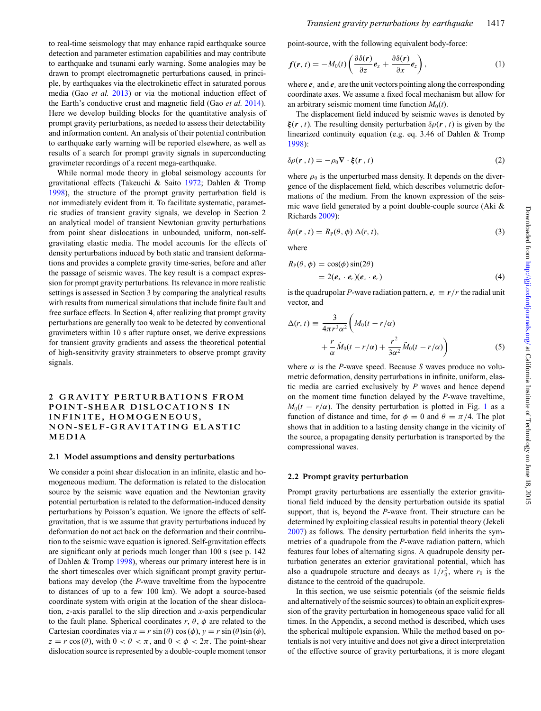to real-time seismology that may enhance rapid earthquake source detection and parameter estimation capabilities and may contribute to earthquake and tsunami early warning. Some analogies may be drawn to prompt electromagnetic perturbations caused, in principle, by earthquakes via the electrokinetic effect in saturated porous media (Gao *et al.* [2013\)](#page-7-5) or via the motional induction effect of the Earth's conductive crust and magnetic field (Gao *et al.* [2014\)](#page-7-6). Here we develop building blocks for the quantitative analysis of prompt gravity perturbations, as needed to assess their detectability and information content. An analysis of their potential contribution to earthquake early warning will be reported elsewhere, as well as results of a search for prompt gravity signals in superconducting gravimeter recordings of a recent mega-earthquake.

While normal mode theory in global seismology accounts for gravitational effects (Takeuchi & Saito [1972;](#page-8-6) Dahlen & Tromp [1998\)](#page-7-2), the structure of the prompt gravity perturbation field is not immediately evident from it. To facilitate systematic, parametric studies of transient gravity signals, we develop in Section 2 an analytical model of transient Newtonian gravity perturbations from point shear dislocations in unbounded, uniform, non-selfgravitating elastic media. The model accounts for the effects of density perturbations induced by both static and transient deformations and provides a complete gravity time-series, before and after the passage of seismic waves. The key result is a compact expression for prompt gravity perturbations. Its relevance in more realistic settings is assessed in Section 3 by comparing the analytical results with results from numerical simulations that include finite fault and free surface effects. In Section 4, after realizing that prompt gravity perturbations are generally too weak to be detected by conventional gravimeters within 10 s after rupture onset, we derive expressions for transient gravity gradients and assess the theoretical potential of high-sensitivity gravity strainmeters to observe prompt gravity signals.

# 2 GRAVITY PERTURBATIONS FROM **POINT-SHEAR DISLOCATIONS IN INFINITE, HOMOGENEOUS, N ON - S E L F -G R AV I TAT ING E L A S T I C MEDIA**

#### **2.1 Model assumptions and density perturbations**

We consider a point shear dislocation in an infinite, elastic and homogeneous medium. The deformation is related to the dislocation source by the seismic wave equation and the Newtonian gravity potential perturbation is related to the deformation-induced density perturbations by Poisson's equation. We ignore the effects of selfgravitation, that is we assume that gravity perturbations induced by deformation do not act back on the deformation and their contribution to the seismic wave equation is ignored. Self-gravitation effects are significant only at periods much longer than 100 s (see p. 142 of Dahlen & Tromp [1998\)](#page-7-2), whereas our primary interest here is in the short timescales over which significant prompt gravity perturbations may develop (the *P*-wave traveltime from the hypocentre to distances of up to a few 100 km). We adopt a source-based coordinate system with origin at the location of the shear dislocation, *z*-axis parallel to the slip direction and *x*-axis perpendicular to the fault plane. Spherical coordinates  $r$ ,  $\theta$ ,  $\phi$  are related to the Cartesian coordinates via  $x = r \sin(\theta) \cos(\phi)$ ,  $y = r \sin(\theta) \sin(\phi)$ ,  $z = r \cos(\theta)$ , with  $0 < \theta < \pi$ , and  $0 < \phi < 2\pi$ . The point-shear dislocation source is represented by a double-couple moment tensor

point-source, with the following equivalent body-force:

$$
f(r,t) = -M_0(t) \left( \frac{\partial \delta(r)}{\partial z} e_x + \frac{\partial \delta(r)}{\partial x} e_z \right), \tag{1}
$$

where  $e_x$  and  $e_z$  are the unit vectors pointing along the corresponding coordinate axes. We assume a fixed focal mechanism but allow for an arbitrary seismic moment time function  $M_0(t)$ .

The displacement field induced by seismic waves is denoted by *ξ*(*r*, *t*). The resulting density perturbation  $\delta \rho$ (*r*, *t*) is given by the linearized continuity equation (e.g. eq. 3.46 of Dahlen & Tromp [1998\)](#page-7-2):

$$
\delta \rho(\mathbf{r}, t) = -\rho_0 \nabla \cdot \xi(\mathbf{r}, t) \tag{2}
$$

where  $\rho_0$  is the unperturbed mass density. It depends on the divergence of the displacement field, which describes volumetric deformations of the medium. From the known expression of the seismic wave field generated by a point double-couple source (Aki & Richards [2009\)](#page-7-7):

$$
\delta \rho(\mathbf{r}, t) = R_{\rm P}(\theta, \phi) \Delta(r, t), \qquad (3)
$$

where

$$
R_{P}(\theta, \phi) = \cos(\phi)\sin(2\theta)
$$
  
= 2(e<sub>x</sub> · e<sub>r</sub>)(e<sub>z</sub> · e<sub>r</sub>) (4)

is the quadrupolar *P*-wave radiation pattern,  $e_r \equiv r/r$  the radial unit vector, and

$$
\Delta(r,t) \equiv \frac{3}{4\pi r^3 \alpha^2} \left( M_0(t - r/\alpha) + \frac{r^2}{3\alpha^2} \ddot{M}_0(t - r/\alpha) \right)
$$
\n
$$
+ \frac{r}{\alpha} \dot{M}_0(t - r/\alpha) + \frac{r^2}{3\alpha^2} \ddot{M}_0(t - r/\alpha) \right)
$$
\n(5)

where  $\alpha$  is the *P*-wave speed. Because *S* waves produce no volumetric deformation, density perturbations in infinite, uniform, elastic media are carried exclusively by *P* waves and hence depend on the moment time function delayed by the *P*-wave traveltime,  $M_0(t - r/\alpha)$ . The density perturbation is plotted in Fig. [1](#page-2-0) as a function of distance and time, for  $\phi = 0$  and  $\theta = \pi/4$ . The plot shows that in addition to a lasting density change in the vicinity of the source, a propagating density perturbation is transported by the compressional waves.

#### **2.2 Prompt gravity perturbation**

Prompt gravity perturbations are essentially the exterior gravitational field induced by the density perturbation outside its spatial support, that is, beyond the *P*-wave front. Their structure can be determined by exploiting classical results in potential theory (Jekeli [2007\)](#page-8-7) as follows. The density perturbation field inherits the symmetries of a quadrupole from the *P*-wave radiation pattern, which features four lobes of alternating signs. A quadrupole density perturbation generates an exterior gravitational potential, which has also a quadrupole structure and decays as  $1/r_0^3$ , where  $r_0$  is the distance to the centroid of the quadrupole.

In this section, we use seismic potentials (of the seismic fields and alternatively of the seismic sources) to obtain an explicit expression of the gravity perturbation in homogeneous space valid for all times. In the Appendix, a second method is described, which uses the spherical multipole expansion. While the method based on potentials is not very intuitive and does not give a direct interpretation of the effective source of gravity perturbations, it is more elegant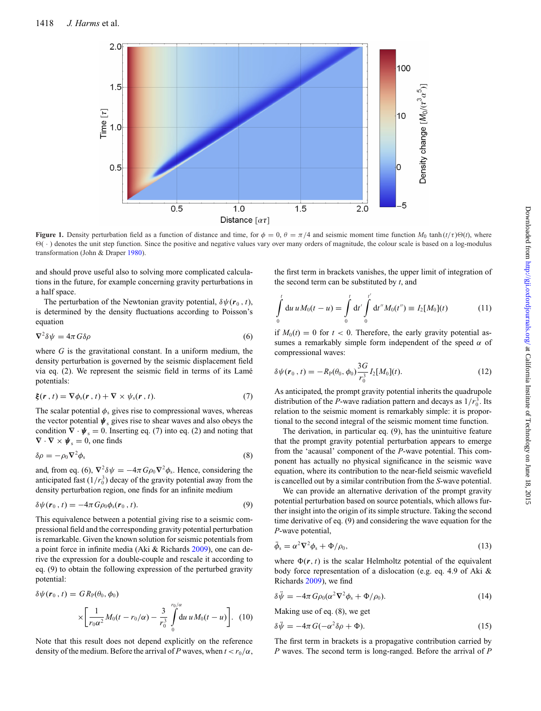<span id="page-2-0"></span>

**Figure 1.** Density perturbation field as a function of distance and time, for  $\phi = 0$ ,  $\theta = \pi/4$  and seismic moment time function  $M_0$  tanh  $(t/\tau) \Theta(t)$ , where  $\Theta(\cdot)$  denotes the unit step function. Since the positive and negative values vary over many orders of magnitude, the colour scale is based on a log-modulus transformation (John & Draper [1980\)](#page-8-8).

and should prove useful also to solving more complicated calculations in the future, for example concerning gravity perturbations in a half space.

The perturbation of the Newtonian gravity potential,  $\delta \psi(\mathbf{r}_0, t)$ , is determined by the density fluctuations according to Poisson's equation

$$
\nabla^2 \delta \psi = 4\pi G \delta \rho \tag{6}
$$

where *G* is the gravitational constant. In a uniform medium, the density perturbation is governed by the seismic displacement field via eq. (2). We represent the seismic field in terms of its Lame´ potentials:

$$
\boldsymbol{\xi}(\boldsymbol{r}\,,t)=\nabla\phi_{\rm s}(\boldsymbol{r}\,,t)+\nabla\times\psi_{\rm s}(\boldsymbol{r}\,,t). \tag{7}
$$

The scalar potential  $\phi_s$  gives rise to compressional waves, whereas the vector potential  $\psi$ <sub>s</sub> gives rise to shear waves and also obeys the condition  $\nabla \cdot \psi_s = 0$ . Inserting eq. (7) into eq. (2) and noting that  $\nabla \cdot \nabla \times \psi_s = 0$ , one finds

$$
\delta \rho = -\rho_0 \nabla^2 \phi_s \tag{8}
$$

and, from eq. (6),  $\nabla^2 \delta \psi = -4\pi G \rho_0 \nabla^2 \phi_s$ . Hence, considering the anticipated fast  $(1/r_0^3)$  decay of the gravity potential away from the density perturbation region, one finds for an infinite medium

$$
\delta\psi(\mathbf{r}_0,t)=-4\pi G\rho_0\phi_{\rm s}(\mathbf{r}_0,t). \tag{9}
$$

This equivalence between a potential giving rise to a seismic compressional field and the corresponding gravity potential perturbation is remarkable. Given the known solution for seismic potentials from a point force in infinite media (Aki & Richards [2009\)](#page-7-7), one can derive the expression for a double-couple and rescale it according to eq. (9) to obtain the following expression of the perturbed gravity potential:

$$
\delta \psi(r_0, t) = G R_{P}(\theta_0, \phi_0)
$$
  
 
$$
\times \left[ \frac{1}{r_0 \alpha^2} M_0(t - r_0/\alpha) - \frac{3}{r_0^3} \int_0^{r_0/\alpha} du \, u M_0(t - u) \right]. \tag{10}
$$

Note that this result does not depend explicitly on the reference density of the medium. Before the arrival of *P* waves, when  $t < r_0/\alpha$ ,

the first term in brackets vanishes, the upper limit of integration of the second term can be substituted by *t*, and

$$
\int_{0}^{t} du \, u M_0(t-u) = \int_{0}^{t} dt' \int_{0}^{t'} dt'' M_0(t'') \equiv I_2[M_0](t)
$$
\n(11)

if  $M_0(t) = 0$  for  $t < 0$ . Therefore, the early gravity potential assumes a remarkably simple form independent of the speed  $\alpha$  of compressional waves:

$$
\delta \psi(\mathbf{r}_0, t) = -R_{\rm P}(\theta_0, \phi_0) \frac{3G}{r_0^3} I_2[M_0](t). \tag{12}
$$

As anticipated, the prompt gravity potential inherits the quadrupole distribution of the *P*-wave radiation pattern and decays as  $1/r_0^3$ . Its relation to the seismic moment is remarkably simple: it is proportional to the second integral of the seismic moment time function.

The derivation, in particular eq. (9), has the unintuitive feature that the prompt gravity potential perturbation appears to emerge from the 'acausal' component of the *P*-wave potential. This component has actually no physical significance in the seismic wave equation, where its contribution to the near-field seismic wavefield is cancelled out by a similar contribution from the *S*-wave potential.

We can provide an alternative derivation of the prompt gravity potential perturbation based on source potentials, which allows further insight into the origin of its simple structure. Taking the second time derivative of eq. (9) and considering the wave equation for the *P*-wave potential,

$$
\ddot{\phi}_s = \alpha^2 \nabla^2 \phi_s + \Phi / \rho_0, \qquad (13)
$$

where  $\Phi(r, t)$  is the scalar Helmholtz potential of the equivalent body force representation of a dislocation (e.g. eq. 4.9 of Aki & Richards [2009\)](#page-7-7), we find

$$
\delta \ddot{\psi} = -4\pi G \rho_0 (\alpha^2 \nabla^2 \phi_s + \Phi / \rho_0). \tag{14}
$$

Making use of eq. (8), we get

$$
\delta \ddot{\psi} = -4\pi G(-\alpha^2 \delta \rho + \Phi). \tag{15}
$$

The first term in brackets is a propagative contribution carried by *P* waves. The second term is long-ranged. Before the arrival of *P*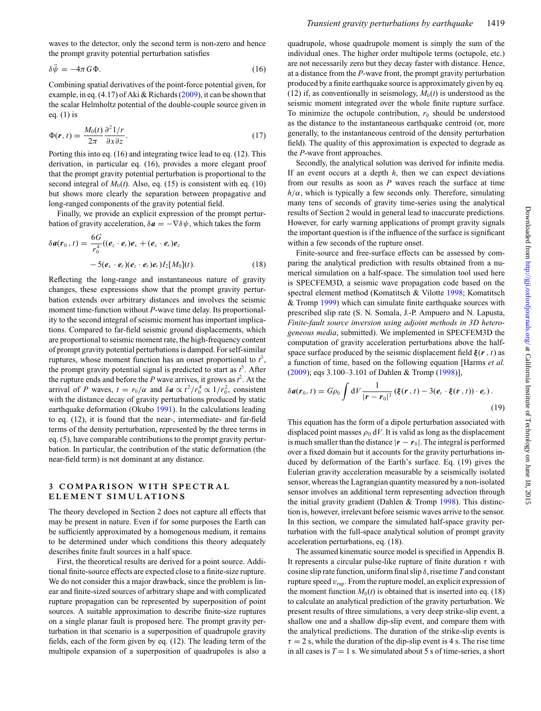$$
\delta \ddot{\psi} = -4\pi G \Phi. \tag{16}
$$

Combining spatial derivatives of the point-force potential given, for example, in eq.  $(4.17)$  of Aki & Richards  $(2009)$ , it can be shown that the scalar Helmholtz potential of the double-couple source given in eq. (1) is

$$
\Phi(r,t) = \frac{M_0(t)}{2\pi} \frac{\partial^2 1/r}{\partial x \partial z}.
$$
\n(17)

Porting this into eq. (16) and integrating twice lead to eq. (12). This derivation, in particular eq. (16), provides a more elegant proof that the prompt gravity potential perturbation is proportional to the second integral of  $M_0(t)$ . Also, eq. (15) is consistent with eq. (10) but shows more clearly the separation between propagative and long-ranged components of the gravity potential field.

Finally, we provide an explicit expression of the prompt perturbation of gravity acceleration,  $\delta \mathbf{a} = -\nabla \delta \psi$ , which takes the form

$$
\delta \boldsymbol{a}(\boldsymbol{r}_0, t) = \frac{6G}{r_0^4} ((\boldsymbol{e}_z \cdot \boldsymbol{e}_r) \boldsymbol{e}_x + (\boldsymbol{e}_x \cdot \boldsymbol{e}_r) \boldsymbol{e}_z - 5(\boldsymbol{e}_x \cdot \boldsymbol{e}_r) (\boldsymbol{e}_z \cdot \boldsymbol{e}_r) \boldsymbol{e}_r) I_2[M_0](t).
$$
 (18)

Reflecting the long-range and instantaneous nature of gravity changes, these expressions show that the prompt gravity perturbation extends over arbitrary distances and involves the seismic moment time-function without *P*-wave time delay. Its proportionality to the second integral of seismic moment has important implications. Compared to far-field seismic ground displacements, which are proportional to seismic moment rate, the high-frequency content of prompt gravity potential perturbations is damped. For self-similar ruptures, whose moment function has an onset proportional to  $t^3$ , the prompt gravity potential signal is predicted to start as  $t^5$ . After the rupture ends and before the  $P$  wave arrives, it grows as  $t^2$ . At the arrival of *P* waves,  $t = r_0/\alpha$  and  $\delta a \propto t^2/r_0^4 \propto 1/r_0^2$ , consistent with the distance decay of gravity perturbations produced by static earthquake deformation (Okubo [1991\)](#page-8-9). In the calculations leading to eq. (12), it is found that the near-, intermediate- and far-field terms of the density perturbation, represented by the three terms in eq. (5), have comparable contributions to the prompt gravity perturbation. In particular, the contribution of the static deformation (the near-field term) is not dominant at any distance.

#### **3 COMPARISON WITH SPECTRAL ELEMENT SIMULATIONS**

The theory developed in Section 2 does not capture all effects that may be present in nature. Even if for some purposes the Earth can be sufficiently approximated by a homogenous medium, it remains to be determined under which conditions this theory adequately describes finite fault sources in a half space.

First, the theoretical results are derived for a point source. Additional finite-source effects are expected close to a finite-size rupture. We do not consider this a major drawback, since the problem is linear and finite-sized sources of arbitrary shape and with complicated rupture propagation can be represented by superposition of point sources. A suitable approximation to describe finite-size ruptures on a single planar fault is proposed here. The prompt gravity perturbation in that scenario is a superposition of quadrupole gravity fields, each of the form given by eq. (12). The leading term of the multipole expansion of a superposition of quadrupoles is also a

quadrupole, whose quadrupole moment is simply the sum of the individual ones. The higher order multipole terms (octupole, etc.) are not necessarily zero but they decay faster with distance. Hence, at a distance from the *P*-wave front, the prompt gravity perturbation produced by a finite earthquake source is approximately given by eq. (12) if, as conventionally in seismology,  $M_0(t)$  is understood as the seismic moment integrated over the whole finite rupture surface. To minimize the octupole contribution,  $r_0$  should be understood as the distance to the instantaneous earthquake centroid (or, more generally, to the instantaneous centroid of the density perturbation field). The quality of this approximation is expected to degrade as the *P*-wave front approaches.

Secondly, the analytical solution was derived for infinite media. If an event occurs at a depth *h*, then we can expect deviations from our results as soon as *P* waves reach the surface at time  $h/\alpha$ , which is typically a few seconds only. Therefore, simulating many tens of seconds of gravity time-series using the analytical results of Section 2 would in general lead to inaccurate predictions. However, for early warning applications of prompt gravity signals the important question is if the influence of the surface is significant within a few seconds of the rupture onset.

Finite-source and free-surface effects can be assessed by comparing the analytical prediction with results obtained from a numerical simulation on a half-space. The simulation tool used here is SPECFEM3D, a seismic wave propagation code based on the spectral element method (Komatitsch & Vilotte [1998;](#page-8-10) Komatitsch & Tromp [1999\)](#page-8-11) which can simulate finite earthquake sources with prescribed slip rate (S. N. Somala, J.-P. Ampuero and N. Lapusta, *Finite-fault source inversion using adjoint methods in 3D heterogeneous media*, submitted). We implemented in SPECFEM3D the computation of gravity acceleration perturbations above the halfspace surface produced by the seismic displacement field  $\xi(r, t)$  as a function of time, based on the following equation [Harms *et al.* [\(2009\)](#page-7-8); eqs 3.100–3.101 of Dahlen & Tromp [\(1998\)](#page-7-2)],

$$
\delta \boldsymbol{a}(\boldsymbol{r}_0, t) = G \rho_0 \int dV \frac{1}{|\boldsymbol{r} - \boldsymbol{r}_0|^3} \left( \boldsymbol{\xi}(\boldsymbol{r}, t) - 3(\boldsymbol{e}_r \cdot \boldsymbol{\xi}(\boldsymbol{r}, t)) \cdot \boldsymbol{e}_r \right). \tag{19}
$$

This equation has the form of a dipole perturbation associated with displaced point masses  $\rho_0$  dV. It is valid as long as the displacement is much smaller than the distance  $|r - r_0|$ . The integral is performed over a fixed domain but it accounts for the gravity perturbations induced by deformation of the Earth's surface. Eq. (19) gives the Eulerian gravity acceleration measurable by a seismically isolated sensor, whereas the Lagrangian quantity measured by a non-isolated sensor involves an additional term representing advection through the initial gravity gradient (Dahlen & Tromp [1998\)](#page-7-2). This distinction is, however, irrelevant before seismic waves arrive to the sensor. In this section, we compare the simulated half-space gravity perturbation with the full-space analytical solution of prompt gravity acceleration perturbations, eq. (18).

The assumed kinematic source model is specified in Appendix B. It represents a circular pulse-like rupture of finite duration  $\tau$  with cosine slip rate function, uniform final slip δ, rise time *T* and constant rupture speed  $v_{\text{rup}}$ . From the rupture model, an explicit expression of the moment function  $M_0(t)$  is obtained that is inserted into eq. (18) to calculate an analytical prediction of the gravity perturbation. We present results of three simulations, a very deep strike-slip event, a shallow one and a shallow dip-slip event, and compare them with the analytical predictions. The duration of the strike-slip events is  $\tau = 2$  s, while the duration of the dip-slip event is 4 s. The rise time in all cases is  $T = 1$  s. We simulated about 5 s of time-series, a short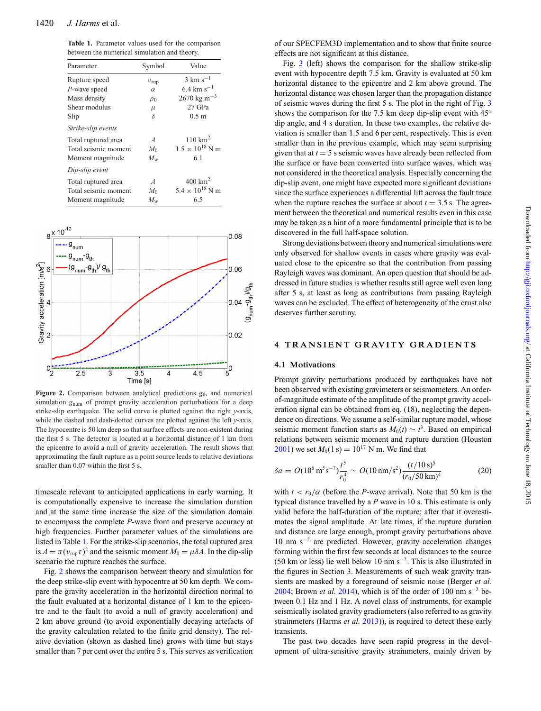<span id="page-4-0"></span>**Table 1.** Parameter values used for the comparison between the numerical simulation and theory.

| Parameter            | Symbol         | Value                    |
|----------------------|----------------|--------------------------|
| Rupture speed        | $v_{\rm{rup}}$ | $3 \text{ km s}^{-1}$    |
| P-wave speed         | $\alpha$       | 6.4 km s <sup>-1</sup>   |
| Mass density         | $\rho_0$       | $2670 \text{ kg m}^{-3}$ |
| Shear modulus        | $\mu$          | $27$ GPa                 |
| Slip                 | $\delta$       | 0.5 <sub>m</sub>         |
| Strike-slip events   |                |                          |
| Total ruptured area  | $\overline{A}$ | 110 $km^2$               |
| Total seismic moment | $M_0$          | $1.5 \times 10^{18}$ N m |
| Moment magnitude     | $M_{\rm w}$    | 6.1                      |
| Dip-slip event       |                |                          |
| Total ruptured area  | $\overline{A}$ | $400 \text{ km}^2$       |
| Total seismic moment | $M_0$          | $5.4 \times 10^{18}$ N m |
| Moment magnitude     | $M_{\rm w}$    | 6.5                      |

<span id="page-4-1"></span>

**Figure 2.** Comparison between analytical predictions  $g_{th}$  and numerical simulation  $g_{\text{num}}$  of prompt gravity acceleration perturbations for a deep strike-slip earthquake. The solid curve is plotted against the right *y*-axis, while the dashed and dash-dotted curves are plotted against the left *y*-axis. The hypocentre is 50 km deep so that surface effects are non-existent during the first 5 s. The detector is located at a horizontal distance of 1 km from the epicentre to avoid a null of gravity acceleration. The result shows that approximating the fault rupture as a point source leads to relative deviations smaller than 0.07 within the first 5 s.

timescale relevant to anticipated applications in early warning. It is computationally expensive to increase the simulation duration and at the same time increase the size of the simulation domain to encompass the complete *P*-wave front and preserve accuracy at high frequencies. Further parameter values of the simulations are listed in Table [1.](#page-4-0) For the strike-slip scenarios, the total ruptured area is  $A = \pi (v_{\text{rup}} \tau)^2$  and the seismic moment  $M_0 = \mu \delta A$ . In the dip-slip scenario the rupture reaches the surface.

Fig. [2](#page-4-1) shows the comparison between theory and simulation for the deep strike-slip event with hypocentre at 50 km depth. We compare the gravity acceleration in the horizontal direction normal to the fault evaluated at a horizontal distance of 1 km to the epicentre and to the fault (to avoid a null of gravity acceleration) and 2 km above ground (to avoid exponentially decaying artefacts of the gravity calculation related to the finite grid density). The relative deviation (shown as dashed line) grows with time but stays smaller than 7 per cent over the entire 5 s. This serves as verification

of our SPECFEM3D implementation and to show that finite source effects are not significant at this distance.

Fig. [3](#page-5-0) (left) shows the comparison for the shallow strike-slip event with hypocentre depth 7.5 km. Gravity is evaluated at 50 km horizontal distance to the epicentre and 2 km above ground. The horizontal distance was chosen larger than the propagation distance of seismic waves during the first 5 s. The plot in the right of Fig. [3](#page-5-0) shows the comparison for the 7.5 km deep dip-slip event with  $45°$ dip angle, and 4 s duration. In these two examples, the relative deviation is smaller than 1.5 and 6 per cent, respectively. This is even smaller than in the previous example, which may seem surprising given that at  $t = 5$  s seismic waves have already been reflected from the surface or have been converted into surface waves, which was not considered in the theoretical analysis. Especially concerning the dip-slip event, one might have expected more significant deviations since the surface experiences a differential lift across the fault trace when the rupture reaches the surface at about  $t = 3.5$  s. The agreement between the theoretical and numerical results even in this case may be taken as a hint of a more fundamental principle that is to be discovered in the full half-space solution.

Strong deviations between theory and numerical simulations were only observed for shallow events in cases where gravity was evaluated close to the epicentre so that the contribution from passing Rayleigh waves was dominant. An open question that should be addressed in future studies is whether results still agree well even long after 5 s, at least as long as contributions from passing Rayleigh waves can be excluded. The effect of heterogeneity of the crust also deserves further scrutiny.

# **4 T R AN S I EN T G R AV I T Y G R AD I EN T S**

#### **4.1 Motivations**

Prompt gravity perturbations produced by earthquakes have not been observed with existing gravimeters or seismometers. An orderof-magnitude estimate of the amplitude of the prompt gravity acceleration signal can be obtained from eq. (18), neglecting the dependence on directions. We assume a self-similar rupture model, whose seismic moment function starts as  $M_0(t) \sim t^3$ . Based on empirical relations between seismic moment and rupture duration (Houston [2001\)](#page-8-12) we set  $M_0(1 \text{ s}) = 10^{17} \text{ N m}$ . We find that

$$
\delta a = O(10^6 \,\mathrm{m}^5 \mathrm{s}^{-7}) \frac{t^5}{r_0^4} \sim O(10 \,\mathrm{nm/s^2}) \frac{(t/10 \,\mathrm{s})^5}{(r_0/50 \,\mathrm{km})^4} \tag{20}
$$

with  $t < r_0/\alpha$  (before the *P*-wave arrival). Note that 50 km is the typical distance travelled by a *P* wave in 10 s. This estimate is only valid before the half-duration of the rupture; after that it overestimates the signal amplitude. At late times, if the rupture duration and distance are large enough, prompt gravity perturbations above 10 nm s−<sup>2</sup> are predicted. However, gravity acceleration changes forming within the first few seconds at local distances to the source (50 km or less) lie well below 10 nm s−2. This is also illustrated in the figures in Section 3. Measurements of such weak gravity transients are masked by a foreground of seismic noise (Berger *et al.* [2004;](#page-7-9) Brown *et al.* [2014\)](#page-7-10), which is of the order of 100 nm s<sup> $-2$ </sup> between 0.1 Hz and 1 Hz. A novel class of instruments, for example seismically isolated gravity gradiometers (also referred to as gravity strainmeters (Harms *et al.* [2013\)](#page-7-11)), is required to detect these early transients.

The past two decades have seen rapid progress in the development of ultra-sensitive gravity strainmeters, mainly driven by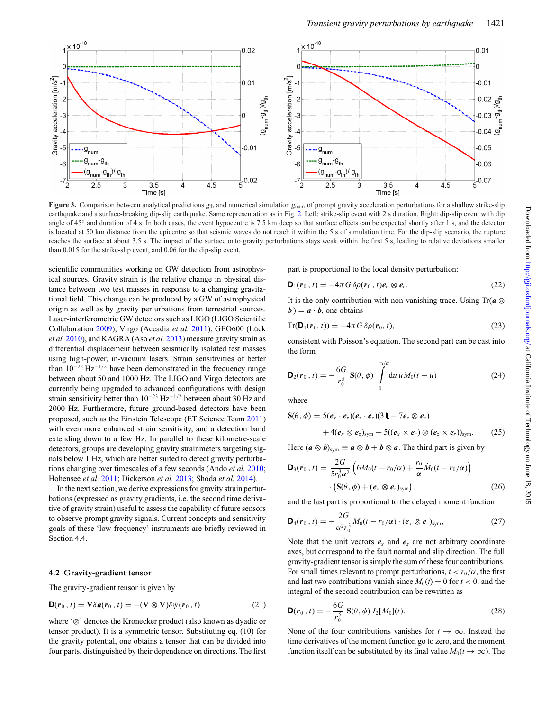<span id="page-5-0"></span>

Figure 3. Comparison between analytical predictions  $g_{th}$  and numerical simulation  $g_{num}$  of prompt gravity acceleration perturbations for a shallow strike-slip earthquake and a surface-breaking dip-slip earthquake. Same representation as in Fig. [2.](#page-4-1) Left: strike-slip event with 2 s duration. Right: dip-slip event with dip angle of 45° and duration of 4 s. In both cases, the event hypocentre is 7.5 km deep so that surface effects can be expected shortly after 1 s, and the detector is located at 50 km distance from the epicentre so that seismic waves do not reach it within the 5 s of simulation time. For the dip-slip scenario, the rupture reaches the surface at about 3.5 s. The impact of the surface onto gravity perturbations stays weak within the first 5 s, leading to relative deviations smaller than 0.015 for the strike-slip event, and 0.06 for the dip-slip event.

scientific communities working on GW detection from astrophysical sources. Gravity strain is the relative change in physical distance between two test masses in response to a changing gravitational field. This change can be produced by a GW of astrophysical origin as well as by gravity perturbations from terrestrial sources. Laser-interferometric GW detectors such as LIGO (LIGO Scientific Collaboration [2009\)](#page-8-13), Virgo (Accadia et al. [2011\)](#page-7-12), GEO600 (Lück *et al.* [2010\)](#page-8-14), and KAGRA (Aso *et al.* [2013\)](#page-7-13) measure gravity strain as differential displacement between seismically isolated test masses using high-power, in-vacuum lasers. Strain sensitivities of better than  $10^{-22}$  Hz<sup>-1/2</sup> have been demonstrated in the frequency range between about 50 and 1000 Hz. The LIGO and Virgo detectors are currently being upgraded to advanced configurations with design strain sensitivity better than 10−<sup>23</sup> Hz−1/<sup>2</sup> between about 30 Hz and 2000 Hz. Furthermore, future ground-based detectors have been proposed, such as the Einstein Telescope (ET Science Team [2011\)](#page-7-14) with even more enhanced strain sensitivity, and a detection band extending down to a few Hz. In parallel to these kilometre-scale detectors, groups are developing gravity strainmeters targeting signals below 1 Hz, which are better suited to detect gravity perturbations changing over timescales of a few seconds (Ando *et al.* [2010;](#page-7-15) Hohensee *et al.* [2011;](#page-8-15) Dickerson *et al.* [2013;](#page-7-16) Shoda *et al.* [2014\)](#page-8-16).

In the next section, we derive expressions for gravity strain perturbations (expressed as gravity gradients, i.e. the second time derivative of gravity strain) useful to assess the capability of future sensors to observe prompt gravity signals. Current concepts and sensitivity goals of these 'low-frequency' instruments are briefly reviewed in Section 4.4.

#### **4.2 Gravity-gradient tensor**

The gravity-gradient tensor is given by

$$
\mathbf{D}(\mathbf{r}_0,t) = \nabla \delta \mathbf{a}(\mathbf{r}_0,t) = -(\nabla \otimes \nabla) \delta \psi(\mathbf{r}_0,t)
$$
(21)

where '⊗' denotes the Kronecker product (also known as dyadic or tensor product). It is a symmetric tensor. Substituting eq. (10) for the gravity potential, one obtains a tensor that can be divided into four parts, distinguished by their dependence on directions. The first

part is proportional to the local density perturbation:

$$
\mathbf{D}_1(\mathbf{r}_0,t)=-4\pi G \,\delta\rho(\mathbf{r}_0,t)\mathbf{e}_r\otimes\mathbf{e}_r. \tag{22}
$$

It is the only contribution with non-vanishing trace. Using  $\text{Tr}(a \otimes$ **) =**  $**a** · **b**$ **, one obtains** 

$$
\operatorname{Tr}(\mathbf{D}_1(\mathbf{r}_0,t)) = -4\pi G \,\delta\rho(\mathbf{r}_0,t),\tag{23}
$$

consistent with Poisson's equation. The second part can be cast into the form

$$
\mathbf{D}_2(\mathbf{r}_0, t) = -\frac{6G}{r_0^5} \mathbf{S}(\theta, \phi) \int_{0}^{r_0/\alpha} du \, u M_0(t - u) \tag{24}
$$

where

$$
\begin{aligned} \mathbf{S}(\theta,\phi) &= 5(\boldsymbol{e}_x \cdot \boldsymbol{e}_r)(\boldsymbol{e}_z \cdot \boldsymbol{e}_r)(31 - 7\boldsymbol{e}_r \otimes \boldsymbol{e}_r) \\ &+ 4(\boldsymbol{e}_x \otimes \boldsymbol{e}_z)_{\text{sym}} + 5((\boldsymbol{e}_x \times \boldsymbol{e}_r) \otimes (\boldsymbol{e}_z \times \boldsymbol{e}_r))_{\text{sym}}. \end{aligned} \tag{25}
$$

Here  $(a \otimes b)_{sym} \equiv a \otimes b + b \otimes a$ . The third part is given by

$$
\mathbf{D}_3(r_0, t) = \frac{2G}{5r_0^3\alpha^2} \left(6M_0(t - r_0/\alpha) + \frac{r_0}{\alpha}\dot{M}_0(t - r_0/\alpha)\right)
$$

$$
\cdot \left(\mathbf{S}(\theta, \phi) + (\mathbf{e}_x \otimes \mathbf{e}_z)_{\text{sym}}\right), \tag{26}
$$

and the last part is proportional to the delayed moment function

$$
\mathbf{D}_4(\mathbf{r}_0,t)=-\frac{2G}{\alpha^2 r_0^3}M_0(t-r_0/\alpha)\cdot(\mathbf{e}_x\otimes\mathbf{e}_z)_{\text{sym}},\qquad(27)
$$

Note that the unit vectors  $e_x$  and  $e_z$  are not arbitrary coordinate axes, but correspond to the fault normal and slip direction. The full gravity-gradient tensor is simply the sum of these four contributions. For small times relevant to prompt perturbations,  $t < r_0/\alpha$ , the first and last two contributions vanish since  $M_0(t) = 0$  for  $t < 0$ , and the integral of the second contribution can be rewritten as

$$
\mathbf{D}(\mathbf{r}_0, t) = -\frac{6G}{r_0^5} \mathbf{S}(\theta, \phi) I_2[M_0](t).
$$
 (28)

None of the four contributions vanishes for  $t \to \infty$ . Instead the time derivatives of the moment function go to zero, and the moment function itself can be substituted by its final value  $M_0(t \to \infty)$ . The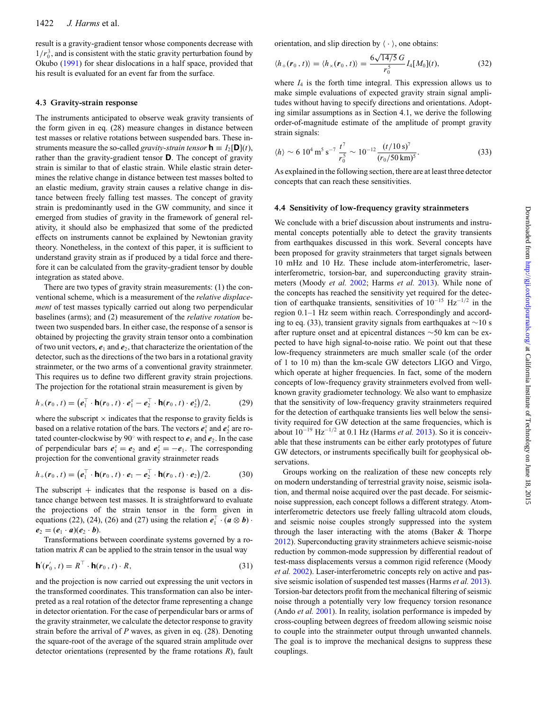result is a gravity-gradient tensor whose components decrease with  $1/r_0^3$ , and is consistent with the static gravity perturbation found by Okubo [\(1991\)](#page-8-9) for shear dislocations in a half space, provided that his result is evaluated for an event far from the surface.

#### **4.3 Gravity-strain response**

The instruments anticipated to observe weak gravity transients of the form given in eq. (28) measure changes in distance between test masses or relative rotations between suspended bars. These instruments measure the so-called *gravity-strain tensor*  $\mathbf{h} \equiv I_2[\mathbf{D}](t)$ , rather than the gravity-gradient tensor **D**. The concept of gravity strain is similar to that of elastic strain. While elastic strain determines the relative change in distance between test masses bolted to an elastic medium, gravity strain causes a relative change in distance between freely falling test masses. The concept of gravity strain is predominantly used in the GW community, and since it emerged from studies of gravity in the framework of general relativity, it should also be emphasized that some of the predicted effects on instruments cannot be explained by Newtonian gravity theory. Nonetheless, in the context of this paper, it is sufficient to understand gravity strain as if produced by a tidal force and therefore it can be calculated from the gravity-gradient tensor by double integration as stated above.

There are two types of gravity strain measurements: (1) the conventional scheme, which is a measurement of the *relative displacement* of test masses typically carried out along two perpendicular baselines (arms); and (2) measurement of the *relative rotation* between two suspended bars. In either case, the response of a sensor is obtained by projecting the gravity strain tensor onto a combination of two unit vectors,  $e_1$  and  $e_2$ , that characterize the orientation of the detector, such as the directions of the two bars in a rotational gravity strainmeter, or the two arms of a conventional gravity strainmeter. This requires us to define two different gravity strain projections. The projection for the rotational strain measurement is given by

$$
h_{\times}(\mathbf{r}_0,t) = \left(\mathbf{e}_1^{\top} \cdot \mathbf{h}(\mathbf{r}_0,t) \cdot \mathbf{e}_1^{\top} - \mathbf{e}_2^{\top} \cdot \mathbf{h}(\mathbf{r}_0,t) \cdot \mathbf{e}_2^{\top}\right)/2, \tag{29}
$$

where the subscript  $\times$  indicates that the response to gravity fields is based on a relative rotation of the bars. The vectors  $e_1^r$  and  $e_2^r$  are rotated counter-clockwise by 90 $\degree$  with respect to  $e_1$  and  $e_2$ . In the case of perpendicular bars  $e_1^r = e_2$  and  $e_2^r = -e_1$ . The corresponding projection for the conventional gravity strainmeter reads

$$
h_{+}(\mathbf{r}_{0},t) = \left(\mathbf{e}_{1}^{\top}\cdot\mathbf{h}(\mathbf{r}_{0},t)\cdot\mathbf{e}_{1} - \mathbf{e}_{2}^{\top}\cdot\mathbf{h}(\mathbf{r}_{0},t)\cdot\mathbf{e}_{2}\right)/2.
$$
 (30)

The subscript  $+$  indicates that the response is based on a distance change between test masses. It is straightforward to evaluate the projections of the strain tensor in the form given in equations (22), (24), (26) and (27) using the relation  $e_1^{\perp} \cdot (a \otimes b)$ .  $e_2 = (e_1 \cdot a)(e_2 \cdot b).$ 

Transformations between coordinate systems governed by a rotation matrix  $R$  can be applied to the strain tensor in the usual way

$$
\mathbf{h}'(\mathbf{r}'_0, t) = R^{\top} \cdot \mathbf{h}(\mathbf{r}_0, t) \cdot R,\tag{31}
$$

and the projection is now carried out expressing the unit vectors in the transformed coordinates. This transformation can also be interpreted as a real rotation of the detector frame representing a change in detector orientation. For the case of perpendicular bars or arms of the gravity strainmeter, we calculate the detector response to gravity strain before the arrival of *P* waves, as given in eq. (28). Denoting the square-root of the average of the squared strain amplitude over detector orientations (represented by the frame rotations *R*), fault orientation, and slip direction by  $\langle \cdot \rangle$ , one obtains:

$$
\langle h_+(\mathbf{r}_0, t) \rangle = \langle h_\times(\mathbf{r}_0, t) \rangle = \frac{6\sqrt{14/5} \ G}{r_0^5} I_4[M_0](t), \tag{32}
$$

where  $I_4$  is the forth time integral. This expression allows us to make simple evaluations of expected gravity strain signal amplitudes without having to specify directions and orientations. Adopting similar assumptions as in Section 4.1, we derive the following order-of-magnitude estimate of the amplitude of prompt gravity strain signals:

$$
\langle h \rangle \sim 6 \, 10^4 \, \text{m}^5 \, \text{s}^{-7} \, \frac{t^7}{r_0^5} \sim 10^{-12} \frac{(t/10 \, \text{s})^7}{(r_0/50 \, \text{km})^5}.\tag{33}
$$

As explained in the following section, there are at least three detector concepts that can reach these sensitivities.

#### **4.4 Sensitivity of low-frequency gravity strainmeters**

We conclude with a brief discussion about instruments and instrumental concepts potentially able to detect the gravity transients from earthquakes discussed in this work. Several concepts have been proposed for gravity strainmeters that target signals between 10 mHz and 10 Hz. These include atom-interferometric, laserinterferometric, torsion-bar, and superconducting gravity strainmeters (Moody *et al.* [2002;](#page-8-17) Harms *et al.* [2013\)](#page-7-11). While none of the concepts has reached the sensitivity yet required for the detection of earthquake transients, sensitivities of 10−<sup>15</sup> Hz−1/<sup>2</sup> in the region 0.1–1 Hz seem within reach. Correspondingly and according to eq. (33), transient gravity signals from earthquakes at ∼10 s after rupture onset and at epicentral distances ∼50 km can be expected to have high signal-to-noise ratio. We point out that these low-frequency strainmeters are much smaller scale (of the order of 1 to 10 m) than the km-scale GW detectors LIGO and Virgo, which operate at higher frequencies. In fact, some of the modern concepts of low-frequency gravity strainmeters evolved from wellknown gravity gradiometer technology. We also want to emphasize that the sensitivity of low-frequency gravity strainmeters required for the detection of earthquake transients lies well below the sensitivity required for GW detection at the same frequencies, which is about 10−<sup>19</sup> Hz−1/<sup>2</sup> at 0.1 Hz (Harms *et al.* [2013\)](#page-7-11). So it is conceivable that these instruments can be either early prototypes of future GW detectors, or instruments specifically built for geophysical observations.

Groups working on the realization of these new concepts rely on modern understanding of terrestrial gravity noise, seismic isolation, and thermal noise acquired over the past decade. For seismicnoise suppression, each concept follows a different strategy. Atominterferometric detectors use freely falling ultracold atom clouds, and seismic noise couples strongly suppressed into the system through the laser interacting with the atoms (Baker & Thorpe [2012\)](#page-7-17). Superconducting gravity strainmeters achieve seismic-noise reduction by common-mode suppression by differential readout of test-mass displacements versus a common rigid reference (Moody *et al.* [2002\)](#page-8-17). Laser-interferometric concepts rely on active and passive seismic isolation of suspended test masses (Harms *et al.* [2013\)](#page-7-11). Torsion-bar detectors profit from the mechanical filtering of seismic noise through a potentially very low frequency torsion resonance (Ando *et al.* [2001\)](#page-7-18). In reality, isolation performance is impeded by cross-coupling between degrees of freedom allowing seismic noise to couple into the strainmeter output through unwanted channels. The goal is to improve the mechanical designs to suppress these couplings.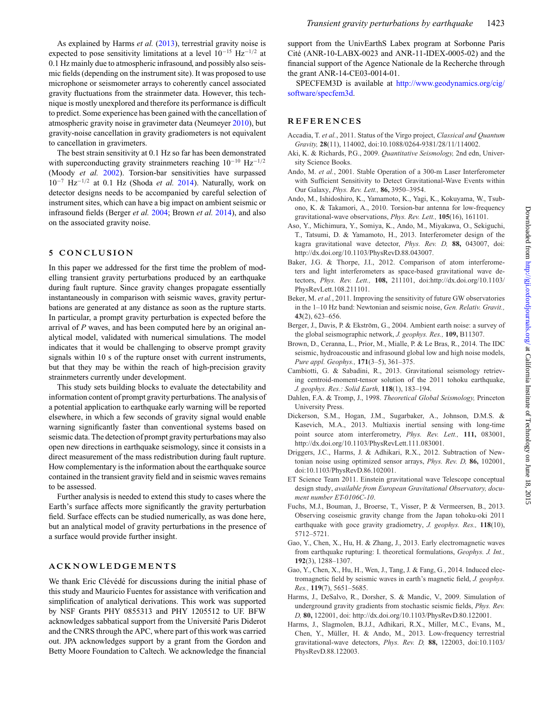As explained by Harms *et al.* [\(2013\)](#page-7-11), terrestrial gravity noise is expected to pose sensitivity limitations at a level  $10^{-15}$  Hz<sup>-1/2</sup> at 0.1 Hz mainly due to atmospheric infrasound, and possibly also seismic fields (depending on the instrument site). It was proposed to use microphone or seismometer arrays to coherently cancel associated gravity fluctuations from the strainmeter data. However, this technique is mostly unexplored and therefore its performance is difficult to predict. Some experience has been gained with the cancellation of atmospheric gravity noise in gravimeter data (Neumeyer [2010\)](#page-8-18), but gravity-noise cancellation in gravity gradiometers is not equivalent to cancellation in gravimeters.

The best strain sensitivity at 0.1 Hz so far has been demonstrated with superconducting gravity strainmeters reaching  $10^{-10}$  Hz<sup>-1/2</sup> (Moody *et al.* [2002\)](#page-8-17). Torsion-bar sensitivities have surpassed 10−<sup>7</sup> Hz−1/<sup>2</sup> at 0.1 Hz (Shoda *et al.* [2014\)](#page-8-16). Naturally, work on detector designs needs to be accompanied by careful selection of instrument sites, which can have a big impact on ambient seismic or infrasound fields (Berger *et al.* [2004;](#page-7-9) Brown *et al.* [2014\)](#page-7-10), and also on the associated gravity noise.

### **5 CONCLUSION**

In this paper we addressed for the first time the problem of modelling transient gravity perturbations produced by an earthquake during fault rupture. Since gravity changes propagate essentially instantaneously in comparison with seismic waves, gravity perturbations are generated at any distance as soon as the rupture starts. In particular, a prompt gravity perturbation is expected before the arrival of *P* waves, and has been computed here by an original analytical model, validated with numerical simulations. The model indicates that it would be challenging to observe prompt gravity signals within 10 s of the rupture onset with current instruments, but that they may be within the reach of high-precision gravity strainmeters currently under development.

This study sets building blocks to evaluate the detectability and information content of prompt gravity perturbations. The analysis of a potential application to earthquake early warning will be reported elsewhere, in which a few seconds of gravity signal would enable warning significantly faster than conventional systems based on seismic data. The detection of prompt gravity perturbations may also open new directions in earthquake seismology, since it consists in a direct measurement of the mass redistribution during fault rupture. How complementary is the information about the earthquake source contained in the transient gravity field and in seismic waves remains to be assessed.

Further analysis is needed to extend this study to cases where the Earth's surface affects more significantly the gravity perturbation field. Surface effects can be studied numerically, as was done here, but an analytical model of gravity perturbations in the presence of a surface would provide further insight.

# **ACKNOWLEDGEMENTS**

We thank Eric Clévédé for discussions during the initial phase of this study and Mauricio Fuentes for assistance with verification and simplification of analytical derivations. This work was supported by NSF Grants PHY 0855313 and PHY 1205512 to UF. BFW acknowledges sabbatical support from the Université Paris Diderot and the CNRS through the APC, where part of this work was carried out. JPA acknowledges support by a grant from the Gordon and Betty Moore Foundation to Caltech. We acknowledge the financial support from the UnivEarthS Labex program at Sorbonne Paris Cité (ANR-10-LABX-0023 and ANR-11-IDEX-0005-02) and the financial support of the Agence Nationale de la Recherche through the grant ANR-14-CE03-0014-01.

SPECFEM3D is available at [http://www.geodynamics.org/cig/](http://www.geodynamics.org/cig/software/specfem3d) [software/specfem3d.](http://www.geodynamics.org/cig/software/specfem3d)

#### **REFERENCES**

- <span id="page-7-12"></span>Accadia, T. *et al.*, 2011. Status of the Virgo project, *Classical and Quantum Gravity,* **28**(11), 114002, doi:10.1088/0264-9381/28/11/114002.
- <span id="page-7-7"></span>Aki, K. & Richards, P.G., 2009. *Quantitative Seismology,* 2nd edn, University Science Books.
- <span id="page-7-18"></span>Ando, M. *et al.*, 2001. Stable Operation of a 300-m Laser Interferometer with Sufficient Sensitivity to Detect Gravitational-Wave Events within Our Galaxy, *Phys. Rev. Lett.,* **86,** 3950–3954.
- <span id="page-7-15"></span>Ando, M., Ishidoshiro, K., Yamamoto, K., Yagi, K., Kokuyama, W., Tsubono, K. & Takamori, A., 2010. Torsion-bar antenna for low-frequency gravitational-wave observations, *Phys. Rev. Lett.,* **105**(16), 161101.
- <span id="page-7-13"></span>Aso, Y., Michimura, Y., Somiya, K., Ando, M., Miyakawa, O., Sekiguchi, T., Tatsumi, D. & Yamamoto, H., 2013. Interferometer design of the kagra gravitational wave detector, *Phys. Rev. D,* **88,** 043007, doi: http://dx.doi.org/10.1103/PhysRevD.88.043007.
- <span id="page-7-17"></span>Baker, J.G. & Thorpe, J.I., 2012. Comparison of atom interferometers and light interferometers as space-based gravitational wave detectors, *Phys. Rev. Lett.,* **108,** 211101, doi:http://dx.doi.org/10.1103/ PhysRevLett.108.211101.
- <span id="page-7-3"></span>Beker, M. *et al.*, 2011. Improving the sensitivity of future GW observatories in the 1–10 Hz band: Newtonian and seismic noise, *Gen. Relativ. Gravit.,* **43**(2), 623–656.
- <span id="page-7-9"></span>Berger, J., Davis, P. & Ekström, G., 2004. Ambient earth noise: a survey of the global seismographic network, *J. geophys. Res.,* **109,** B11307.
- <span id="page-7-10"></span>Brown, D., Ceranna, L., Prior, M., Mialle, P. & Le Bras, R., 2014. The IDC seismic, hydroacoustic and infrasound global low and high noise models, *Pure appl. Geophys.,* **171**(3–5), 361–375.
- <span id="page-7-1"></span>Cambiotti, G. & Sabadini, R., 2013. Gravitational seismology retrieving centroid-moment-tensor solution of the 2011 tohoku earthquake, *J. geophys. Res.: Solid Earth,* **118**(1), 183–194.
- <span id="page-7-2"></span>Dahlen, F.A. & Tromp, J., 1998. *Theoretical Global Seismology,* Princeton University Press.
- <span id="page-7-16"></span>Dickerson, S.M., Hogan, J.M., Sugarbaker, A., Johnson, D.M.S. & Kasevich, M.A., 2013. Multiaxis inertial sensing with long-time point source atom interferometry, *Phys. Rev. Lett.,* **111,** 083001, http://dx.doi.org/10.1103/PhysRevLett.111.083001.
- <span id="page-7-4"></span>Driggers, J.C., Harms, J. & Adhikari, R.X., 2012. Subtraction of Newtonian noise using optimized sensor arrays, *Phys. Rev. D,* **86,** 102001, doi:10.1103/PhysRevD.86.102001.
- <span id="page-7-14"></span>ET Science Team 2011. Einstein gravitational wave Telescope conceptual design study, *available from European Gravitational Observatory, document number ET-0106C-10*.
- <span id="page-7-0"></span>Fuchs, M.J., Bouman, J., Broerse, T., Visser, P. & Vermeersen, B., 2013. Observing coseismic gravity change from the Japan tohoku-oki 2011 earthquake with goce gravity gradiometry, *J. geophys. Res.,* **118**(10), 5712–5721.
- <span id="page-7-5"></span>Gao, Y., Chen, X., Hu, H. & Zhang, J., 2013. Early electromagnetic waves from earthquake rupturing: I. theoretical formulations, *Geophys. J. Int.,* **192**(3), 1288–1307.
- <span id="page-7-6"></span>Gao, Y., Chen, X., Hu, H., Wen, J., Tang, J. & Fang, G., 2014. Induced electromagnetic field by seismic waves in earth's magnetic field, *J. geophys. Res.,* **119**(7), 5651–5685.
- <span id="page-7-8"></span>Harms, J., DeSalvo, R., Dorsher, S. & Mandic, V., 2009. Simulation of underground gravity gradients from stochastic seismic fields, *Phys. Rev. D,* **80,** 122001, doi: http://dx.doi.org/10.1103/PhysRevD.80.122001.
- <span id="page-7-11"></span>Harms, J., Slagmolen, B.J.J., Adhikari, R.X., Miller, M.C., Evans, M., Chen, Y., Müller, H. & Ando, M., 2013. Low-frequency terrestrial gravitational-wave detectors, *Phys. Rev. D,* **88,** 122003, doi:10.1103/ PhysRevD.88.122003.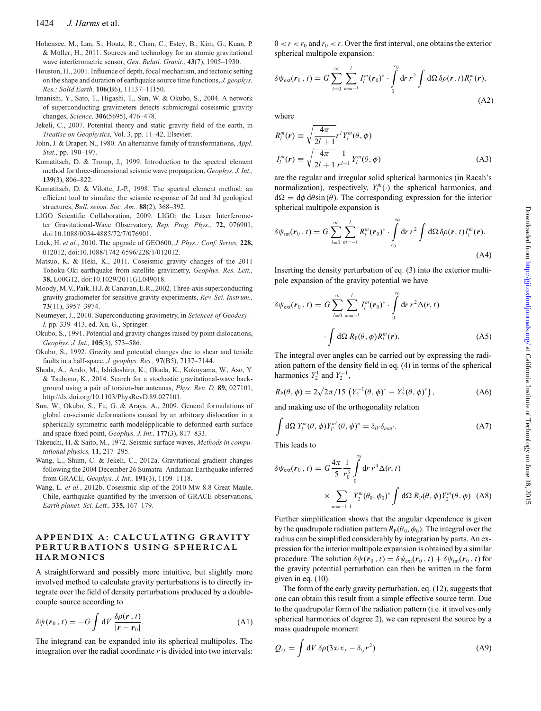- <span id="page-8-15"></span>Hohensee, M., Lan, S., Houtz, R., Chan, C., Estey, B., Kim, G., Kuan, P. & Muller, H., 2011. Sources and technology for an atomic gravitational ¨ wave interferometric sensor, *Gen. Relati. Gravit.,* **43**(7), 1905–1930.
- <span id="page-8-12"></span>Houston, H., 2001. Influence of depth, focal mechanism, and tectonic setting on the shape and duration of earthquake source time functions, *J. geophys. Res.: Solid Earth,* **106**(B6), 11137–11150.
- <span id="page-8-0"></span>Imanishi, Y., Sato, T., Higashi, T., Sun, W. & Okubo, S., 2004. A network of superconducting gravimeters detects submicrogal coseismic gravity changes, *Science,* **306**(5695), 476–478.
- <span id="page-8-7"></span>Jekeli, C., 2007. Potential theory and static gravity field of the earth, in *Treatise on Geophysics,* Vol. 3, pp. 11–42, Elsevier.
- <span id="page-8-8"></span>John, J. & Draper, N., 1980. An alternative family of transformations, *Appl. Stat.,* pp. 190–197.
- <span id="page-8-11"></span>Komatitsch, D. & Tromp, J., 1999. Introduction to the spectral element method for three-dimensional seismic wave propagation, *Geophys. J. Int.,* **139**(3), 806–822.
- <span id="page-8-10"></span>Komatitsch, D. & Vilotte, J.-P., 1998. The spectral element method: an efficient tool to simulate the seismic response of 2d and 3d geological structures, *Bull. seism. Soc. Am.,* **88**(2), 368–392.
- <span id="page-8-13"></span>LIGO Scientific Collaboration, 2009. LIGO: the Laser Interferometer Gravitational-Wave Observatory, *Rep. Prog. Phys.,* **72,** 076901, doi:10.1088/0034-4885/72/7/076901.
- <span id="page-8-14"></span>Lück, H. et al., 2010. The upgrade of GEO600, *J. Phys.: Conf. Series*, 228, 012012, doi:10.1088/1742-6596/228/1/012012.
- <span id="page-8-4"></span>Matsuo, K. & Heki, K., 2011. Coseismic gravity changes of the 2011 Tohoku-Oki earthquake from satellite gravimetry, *Geophys. Res. Lett.,* **38,** L00G12, doi:10.1029/2011GL049018.
- <span id="page-8-17"></span>Moody, M.V., Paik, H.J. & Canavan, E.R., 2002. Three-axis superconducting gravity gradiometer for sensitive gravity experiments, *Rev. Sci. Instrum.,* **73**(11), 3957–3974.
- <span id="page-8-18"></span>Neumeyer, J., 2010. Superconducting gravimetry, in *Sciences of Geodesy – I,* pp. 339–413, ed. Xu, G., Springer.
- <span id="page-8-9"></span>Okubo, S., 1991. Potential and gravity changes raised by point dislocations, *Geophys. J. Int.,* **105**(3), 573–586.
- <span id="page-8-2"></span>Okubo, S., 1992. Gravity and potential changes due to shear and tensile faults in a half-space, *J. geophys. Res.,* **97**(B5), 7137–7144.
- <span id="page-8-16"></span>Shoda, A., Ando, M., Ishidoshiro, K., Okada, K., Kokuyama, W., Aso, Y. & Tsubono, K., 2014. Search for a stochastic gravitational-wave background using a pair of torsion-bar antennas, *Phys. Rev. D,* **89,** 027101, http://dx.doi.org/10.1103/PhysRevD.89.027101.
- <span id="page-8-3"></span>Sun, W., Okubo, S., Fu, G. & Araya, A., 2009. General formulations of global co-seismic deformations caused by an arbitrary dislocation in a spherically symmetric earth modelépplicable to deformed earth surface and space-fixed point, *Geophys. J. Int.,* **177**(3), 817–833.
- <span id="page-8-6"></span>Takeuchi, H. & Saito, M., 1972. Seismic surface waves, *Methods in computational physics,* **11,** 217–295.
- <span id="page-8-1"></span>Wang, L., Shum, C. & Jekeli, C., 2012a. Gravitational gradient changes following the 2004 December 26 Sumatra–Andaman Earthquake inferred from GRACE, *Geophys. J. Int.,* **191**(3), 1109–1118.
- <span id="page-8-5"></span>Wang, L. *et al.*, 2012b. Coseismic slip of the 2010 Mw 8.8 Great Maule, Chile, earthquake quantified by the inversion of GRACE observations, *Earth planet. Sci. Lett.,* **335,** 167–179.

# **A P P END I X A: C A LCU L AT ING G R AV I T Y PERTURBATIONS USING SPHERICAL HARMONICS**

A straightforward and possibly more intuitive, but slightly more involved method to calculate gravity perturbations is to directly integrate over the field of density perturbations produced by a doublecouple source according to

$$
\delta \psi(\mathbf{r}_0, t) = -G \int dV \frac{\delta \rho(\mathbf{r}, t)}{|\mathbf{r} - \mathbf{r}_0|}.
$$
 (A1)

The integrand can be expanded into its spherical multipoles. The integration over the radial coordinate *r* is divided into two intervals:

 $0 < r < r_0$  and  $r_0 < r$ . Over the first interval, one obtains the exterior spherical multipole expansion:

$$
\delta \psi_{\text{ext}}(\boldsymbol{r}_0, t) = G \sum_{l=0}^{\infty} \sum_{m=-l}^{l} I_l^m(\boldsymbol{r}_0)^* \cdot \int_{0}^{r_0} dr \, r^2 \int d\Omega \, \delta \rho(\boldsymbol{r}, t) R_l^m(\boldsymbol{r}), \tag{A2}
$$

where

$$
R_l^m(\mathbf{r}) \equiv \sqrt{\frac{4\pi}{2l+1}} r^l Y_l^m(\theta, \phi)
$$
  

$$
I_l^m(\mathbf{r}) \equiv \sqrt{\frac{4\pi}{2l+1}} \frac{1}{r^{l+1}} Y_l^m(\theta, \phi)
$$
 (A3)

are the regular and irregular solid spherical harmonics (in Racah's normalization), respectively,  $Y_l^m(\cdot)$  the spherical harmonics, and  $d\Omega = d\phi d\theta \sin(\theta)$ . The corresponding expression for the interior spherical multipole expansion is

$$
\delta \psi_{\text{int}}(\boldsymbol{r}_0, t) = G \sum_{l=0}^{\infty} \sum_{m=-l}^{l} R_l^m(\boldsymbol{r}_0)^* \cdot \int_{r_0}^{\infty} dr \, r^2 \int d\Omega \, \delta \rho(\boldsymbol{r}, t) I_l^m(\boldsymbol{r}). \tag{A4}
$$

Inserting the density perturbation of eq. (3) into the exterior multipole expansion of the gravity potential we have

$$
\delta \psi_{\text{ext}}(\boldsymbol{r}_0, t) = G \sum_{l=0}^{\infty} \sum_{m=-l}^{l} I_l^m(\boldsymbol{r}_0)^* \cdot \int_0^{r_0} dr \, r^2 \Delta(r, t)
$$

$$
\cdot \int d\Omega \, R_{\text{P}}(\theta, \phi) R_l^m(\boldsymbol{r}). \tag{A5}
$$

The integral over angles can be carried out by expressing the radiation pattern of the density field in eq. (4) in terms of the spherical harmonics  $Y_2^1$  and  $Y_2^{-1}$ ,

$$
R_{P}(\theta,\phi) = 2\sqrt{2\pi/15} \left(Y_2^{-1}(\theta,\phi)^* - Y_2^1(\theta,\phi)^*\right), \tag{A6}
$$

and making use of the orthogonality relation

$$
\int d\Omega Y_l^m(\theta,\phi)Y_{l'}^{m'}(\theta,\phi)^* = \delta_{ll'}\delta_{mm'}.
$$
\n(A7)

This leads to

$$
\delta \psi_{ext}(\boldsymbol{r}_0, t) = G \frac{4\pi}{5} \frac{1}{r_0^3} \int_0^{r_0} dr \, r^4 \Delta(r, t)
$$

$$
\times \sum_{m=-1,1} Y_2^m (\theta_0, \phi_0)^* \int d\Omega \, R_{P}(\theta, \phi) Y_2^m(\theta, \phi) \quad \text{(A8)}
$$

Further simplification shows that the angular dependence is given by the quadrupole radiation pattern  $R_P(\theta_0, \phi_0)$ . The integral over the radius can be simplified considerably by integration by parts. An expression for the interior multipole expansion is obtained by a similar procedure. The solution  $\delta \psi(r_0, t) = \delta \psi_{ext}(r_0, t) + \delta \psi_{int}(r_0, t)$  for the gravity potential perturbation can then be written in the form given in eq. (10).

The form of the early gravity perturbation, eq. (12), suggests that one can obtain this result from a simple effective source term. Due to the quadrupolar form of the radiation pattern (i.e. it involves only spherical harmonics of degree 2), we can represent the source by a mass quadrupole moment

$$
Q_{ij} = \int dV \,\delta \rho(3x_i x_j - \delta_{ij} r^2) \tag{A9}
$$